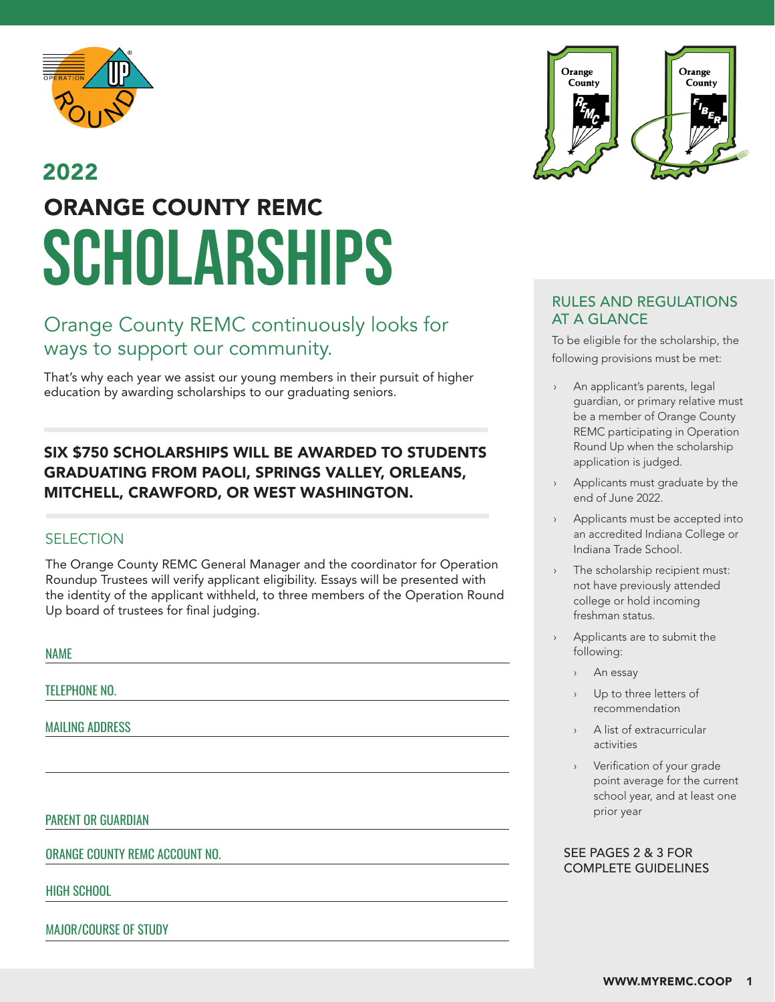

### SCHOLARSHIPS 2022 ORANGE COUNTY REMC

### Orange County REMC continuously looks for ways to support our community.

That's why each year we assist our young members in their pursuit of higher education by awarding scholarships to our graduating seniors.

### SIX \$750 SCHOLARSHIPS WILL BE AWARDED TO STUDENTS GRADUATING FROM PAOLI, SPRINGS VALLEY, ORLEANS, MITCHELL, CRAWFORD, OR WEST WASHINGTON.

### **SELECTION**

The Orange County REMC General Manager and the coordinator for Operation Roundup Trustees will verify applicant eligibility. Essays will be presented with the identity of the applicant withheld, to three members of the Operation Round Up board of trustees for final judging.

NAME

TELEPHONE NO.

MAILING ADDRESS

#### PARENT OR GUARDIAN

ORANGE COUNTY REMC ACCOUNT NO.

HIGH SCHOOL

MAJOR/COURSE OF STUDY



### RULES AND REGULATIONS AT A GLANCE

To be eligible for the scholarship, the following provisions must be met:

- An applicant's parents, legal guardian, or primary relative must be a member of Orange County REMC participating in Operation Round Up when the scholarship application is judged.
- Applicants must graduate by the end of June 2022.
- Applicants must be accepted into an accredited Indiana College or Indiana Trade School.
- The scholarship recipient must: not have previously attended college or hold incoming freshman status.
- Applicants are to submit the following:
	- › An essay
	- Up to three letters of recommendation
	- A list of extracurricular activities
	- › Verification of your grade point average for the current school year, and at least one prior year

#### SEE PAGES 2 & 3 FOR COMPLETE GUIDELINES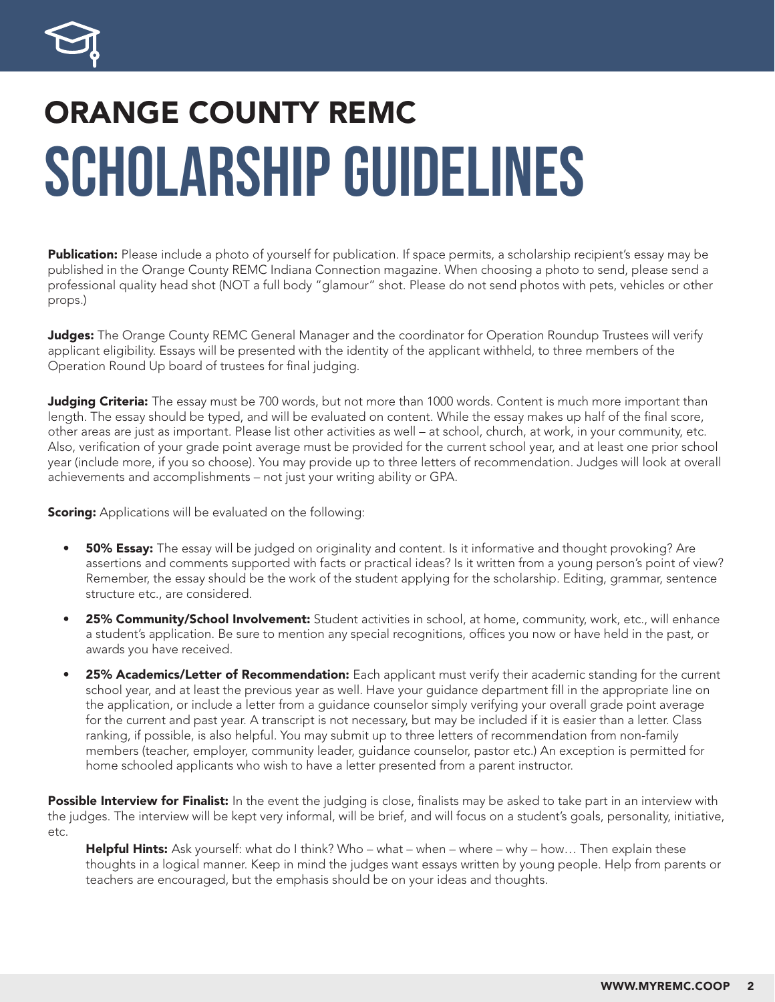

### SCHOLARSHIP Guidelines ORANGE COUNTY REMC

Publication: Please include a photo of yourself for publication. If space permits, a scholarship recipient's essay may be published in the Orange County REMC Indiana Connection magazine. When choosing a photo to send, please send a professional quality head shot (NOT a full body "glamour" shot. Please do not send photos with pets, vehicles or other props.)

Judges: The Orange County REMC General Manager and the coordinator for Operation Roundup Trustees will verify applicant eligibility. Essays will be presented with the identity of the applicant withheld, to three members of the Operation Round Up board of trustees for final judging.

**Judging Criteria:** The essay must be 700 words, but not more than 1000 words. Content is much more important than length. The essay should be typed, and will be evaluated on content. While the essay makes up half of the final score, other areas are just as important. Please list other activities as well – at school, church, at work, in your community, etc. Also, verification of your grade point average must be provided for the current school year, and at least one prior school year (include more, if you so choose). You may provide up to three letters of recommendation. Judges will look at overall achievements and accomplishments – not just your writing ability or GPA.

**Scoring:** Applications will be evaluated on the following:

- **50% Essay:** The essay will be judged on originality and content. Is it informative and thought provoking? Are assertions and comments supported with facts or practical ideas? Is it written from a young person's point of view? Remember, the essay should be the work of the student applying for the scholarship. Editing, grammar, sentence structure etc., are considered.
- 25% Community/School Involvement: Student activities in school, at home, community, work, etc., will enhance a student's application. Be sure to mention any special recognitions, offices you now or have held in the past, or awards you have received.
- 25% Academics/Letter of Recommendation: Each applicant must verify their academic standing for the current school year, and at least the previous year as well. Have your guidance department fill in the appropriate line on the application, or include a letter from a guidance counselor simply verifying your overall grade point average for the current and past year. A transcript is not necessary, but may be included if it is easier than a letter. Class ranking, if possible, is also helpful. You may submit up to three letters of recommendation from non-family members (teacher, employer, community leader, guidance counselor, pastor etc.) An exception is permitted for home schooled applicants who wish to have a letter presented from a parent instructor.

Possible Interview for Finalist: In the event the judging is close, finalists may be asked to take part in an interview with the judges. The interview will be kept very informal, will be brief, and will focus on a student's goals, personality, initiative, etc.

Helpful Hints: Ask yourself: what do I think? Who – what – when – where – why – how... Then explain these thoughts in a logical manner. Keep in mind the judges want essays written by young people. Help from parents or teachers are encouraged, but the emphasis should be on your ideas and thoughts.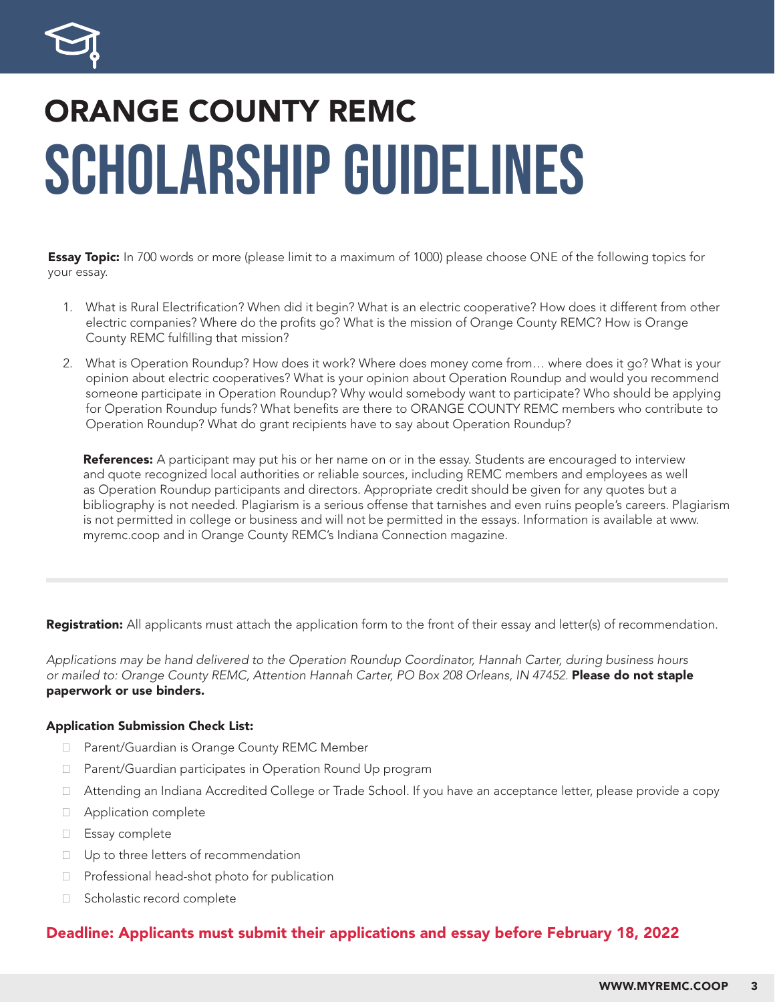

### SCHOLARSHIP Guidelines ORANGE COUNTY REMC

**Essay Topic:** In 700 words or more (please limit to a maximum of 1000) please choose ONE of the following topics for your essay.

- 1. What is Rural Electrification? When did it begin? What is an electric cooperative? How does it different from other electric companies? Where do the profits go? What is the mission of Orange County REMC? How is Orange County REMC fulfilling that mission?
- 2. What is Operation Roundup? How does it work? Where does money come from… where does it go? What is your opinion about electric cooperatives? What is your opinion about Operation Roundup and would you recommend someone participate in Operation Roundup? Why would somebody want to participate? Who should be applying for Operation Roundup funds? What benefits are there to ORANGE COUNTY REMC members who contribute to Operation Roundup? What do grant recipients have to say about Operation Roundup?

References: A participant may put his or her name on or in the essay. Students are encouraged to interview and quote recognized local authorities or reliable sources, including REMC members and employees as well as Operation Roundup participants and directors. Appropriate credit should be given for any quotes but a bibliography is not needed. Plagiarism is a serious offense that tarnishes and even ruins people's careers. Plagiarism is not permitted in college or business and will not be permitted in the essays. Information is available at www. myremc.coop and in Orange County REMC's Indiana Connection magazine.

Registration: All applicants must attach the application form to the front of their essay and letter(s) of recommendation.

*Applications may be hand delivered to the Operation Roundup Coordinator, Hannah Carter, during business hours*  or mailed to: Orange County REMC, Attention Hannah Carter, PO Box 208 Orleans, IN 47452. Please do not staple paperwork or use binders.

#### Application Submission Check List:

- □ Parent/Guardian is Orange County REMC Member
- □ Parent/Guardian participates in Operation Round Up program
- □ Attending an Indiana Accredited College or Trade School. If you have an acceptance letter, please provide a copy
- □ Application complete
- ̆ Essay complete
- □ Up to three letters of recommendation
- $\Box$  Professional head-shot photo for publication
- □ Scholastic record complete

### Deadline: Applicants must submit their applications and essay before February 18, 2022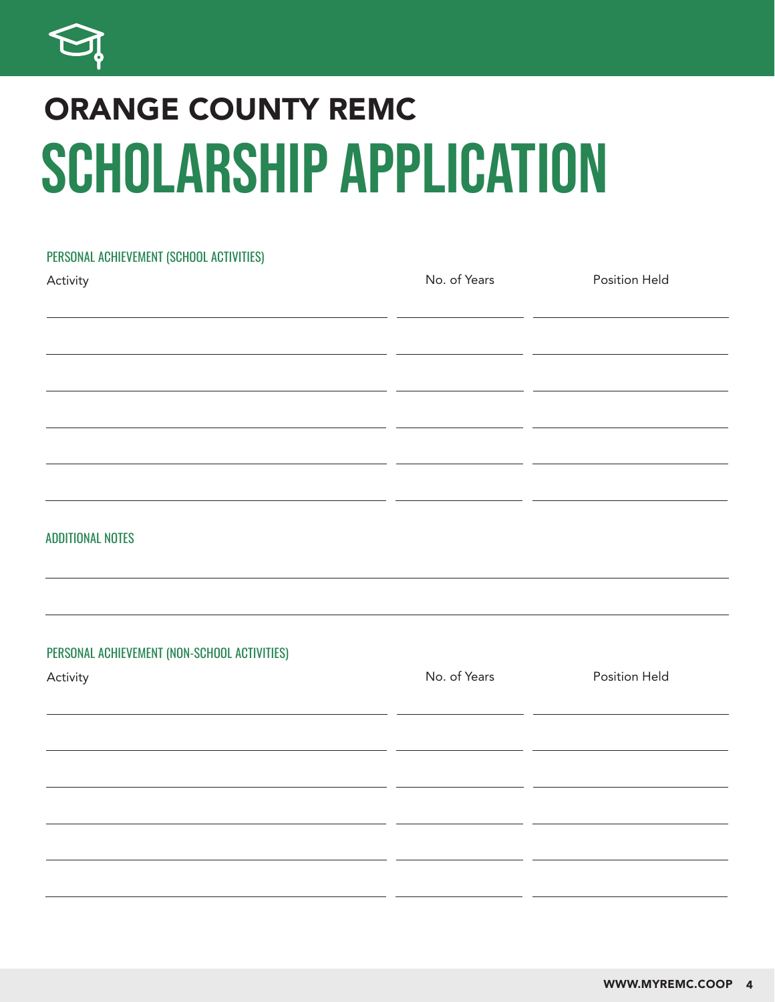

## SCHOLARSHIP APPLICATION ORANGE COUNTY REMC

# PERSONAL ACHIEVEMENT (SCHOOL ACTIVITIES) Activity No. of Years Position Held ADDITIONAL NOTES PERSONAL ACHIEVEMENT (NON-SCHOOL ACTIVITIES) Activity No. of Years Position Held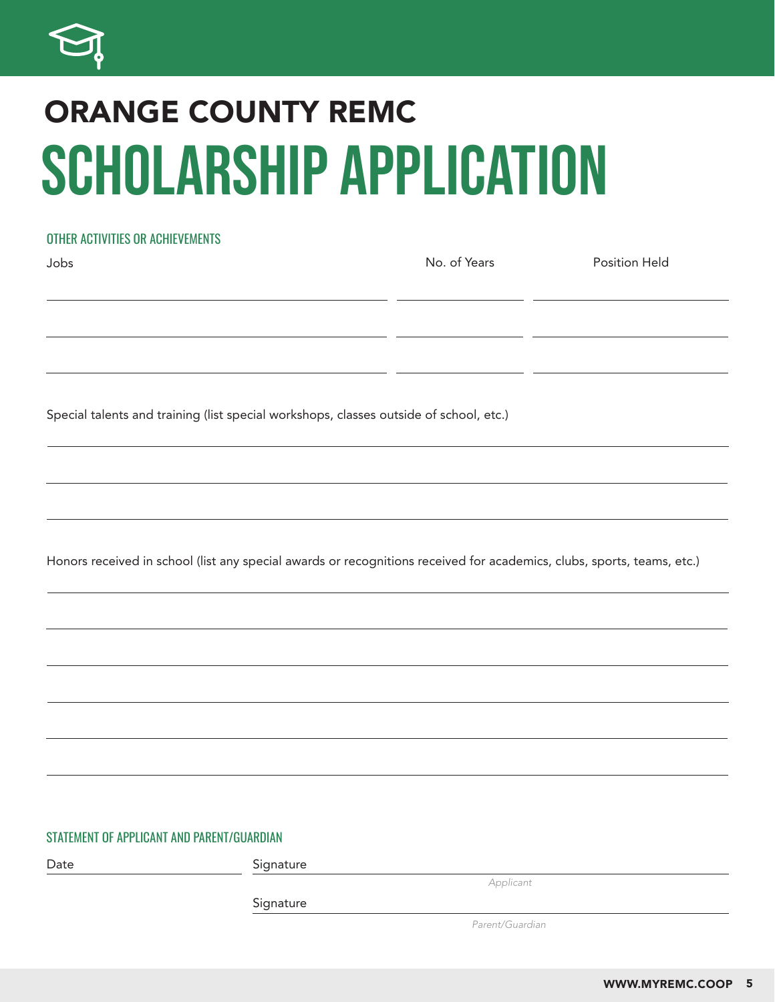

### SCHOLARSHIP APPLICATION ORANGE COUNTY REMC

### OTHER ACTIVITIES OR ACHIEVEMENTS

| Jobs                                                                                   | No. of Years | <b>Position Held</b> |
|----------------------------------------------------------------------------------------|--------------|----------------------|
|                                                                                        |              |                      |
|                                                                                        |              |                      |
|                                                                                        |              |                      |
|                                                                                        |              |                      |
|                                                                                        |              |                      |
| Special talents and training (list special workshops, classes outside of school, etc.) |              |                      |
|                                                                                        |              |                      |
|                                                                                        |              |                      |
|                                                                                        |              |                      |

Honors received in school (list any special awards or recognitions received for academics, clubs, sports, teams, etc.)

#### STATEMENT OF APPLICANT AND PARENT/GUARDIAN

Date Signature *Applicant*

Signature

*Parent/Guardian*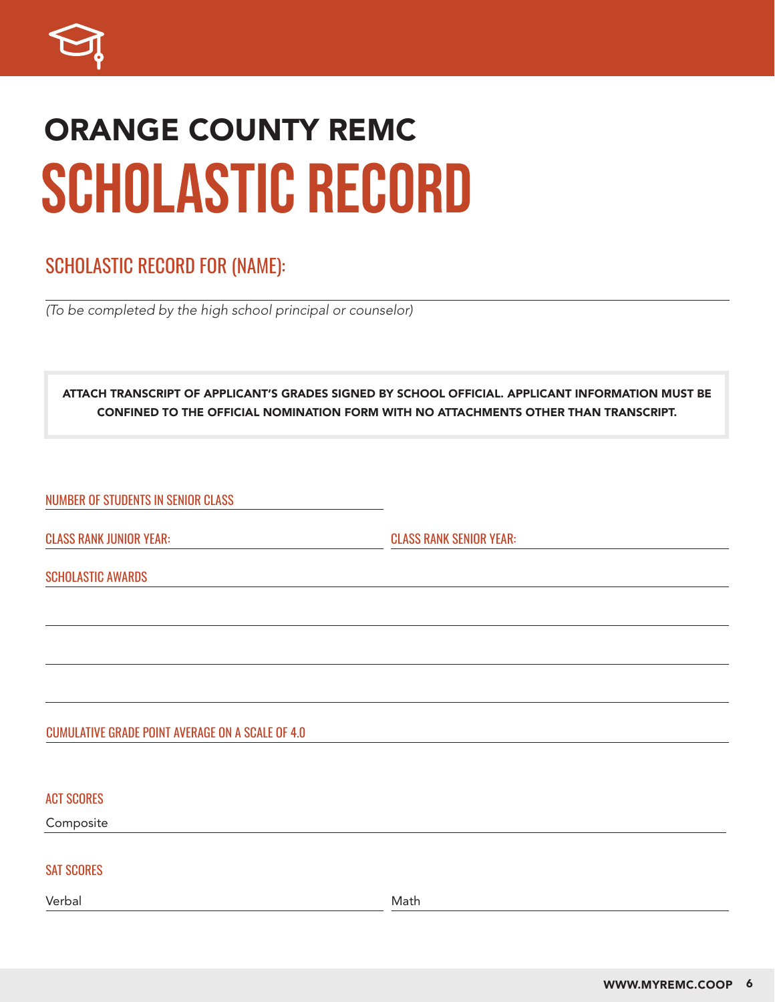

### SCHOLASTIC RECORD ORANGE COUNTY REMC

### SCHOLASTIC RECORD FOR (NAME):

*(To be completed by the high school principal or counselor)*

ATTACH TRANSCRIPT OF APPLICANT'S GRADES SIGNED BY SCHOOL OFFICIAL. APPLICANT INFORMATION MUST BE CONFINED TO THE OFFICIAL NOMINATION FORM WITH NO ATTACHMENTS OTHER THAN TRANSCRIPT.

NUMBER OF STUDENTS IN SENIOR CLASS

CLASS RANK JUNIOR YEAR: CLASS RANK SENIOR YEAR:

SCHOLASTIC AWARDS

#### CUMULATIVE GRADE POINT AVERAGE ON A SCALE OF 4.0

ACT SCORES

Composite

#### SAT SCORES

Verbal Math